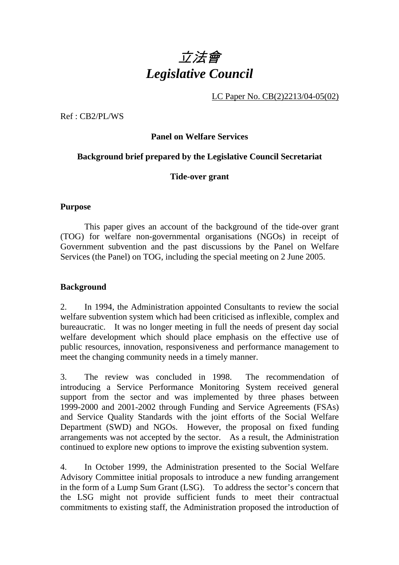

LC Paper No. CB(2)2213/04-05(02)

Ref : CB2/PL/WS

# **Panel on Welfare Services**

#### **Background brief prepared by the Legislative Council Secretariat**

#### **Tide-over grant**

#### **Purpose**

 This paper gives an account of the background of the tide-over grant (TOG) for welfare non-governmental organisations (NGOs) in receipt of Government subvention and the past discussions by the Panel on Welfare Services (the Panel) on TOG, including the special meeting on 2 June 2005.

#### **Background**

2. In 1994, the Administration appointed Consultants to review the social welfare subvention system which had been criticised as inflexible, complex and bureaucratic. It was no longer meeting in full the needs of present day social welfare development which should place emphasis on the effective use of public resources, innovation, responsiveness and performance management to meet the changing community needs in a timely manner.

3. The review was concluded in 1998. The recommendation of introducing a Service Performance Monitoring System received general support from the sector and was implemented by three phases between 1999-2000 and 2001-2002 through Funding and Service Agreements (FSAs) and Service Quality Standards with the joint efforts of the Social Welfare Department (SWD) and NGOs. However, the proposal on fixed funding arrangements was not accepted by the sector. As a result, the Administration continued to explore new options to improve the existing subvention system.

4. In October 1999, the Administration presented to the Social Welfare Advisory Committee initial proposals to introduce a new funding arrangement in the form of a Lump Sum Grant (LSG). To address the sector's concern that the LSG might not provide sufficient funds to meet their contractual commitments to existing staff, the Administration proposed the introduction of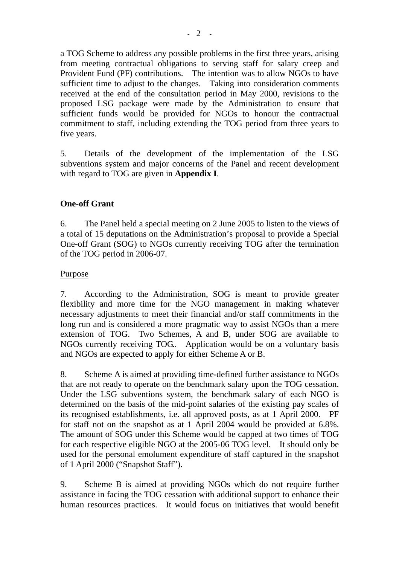a TOG Scheme to address any possible problems in the first three years, arising from meeting contractual obligations to serving staff for salary creep and Provident Fund (PF) contributions. The intention was to allow NGOs to have sufficient time to adjust to the changes. Taking into consideration comments received at the end of the consultation period in May 2000, revisions to the proposed LSG package were made by the Administration to ensure that sufficient funds would be provided for NGOs to honour the contractual commitment to staff, including extending the TOG period from three years to five years.

5. Details of the development of the implementation of the LSG subventions system and major concerns of the Panel and recent development with regard to TOG are given in **Appendix I**.

# **One-off Grant**

6. The Panel held a special meeting on 2 June 2005 to listen to the views of a total of 15 deputations on the Administration's proposal to provide a Special One-off Grant (SOG) to NGOs currently receiving TOG after the termination of the TOG period in 2006-07.

# Purpose

7. According to the Administration, SOG is meant to provide greater flexibility and more time for the NGO management in making whatever necessary adjustments to meet their financial and/or staff commitments in the long run and is considered a more pragmatic way to assist NGOs than a mere extension of TOG. Two Schemes, A and B, under SOG are available to NGOs currently receiving TOG.. Application would be on a voluntary basis and NGOs are expected to apply for either Scheme A or B.

8. Scheme A is aimed at providing time-defined further assistance to NGOs that are not ready to operate on the benchmark salary upon the TOG cessation. Under the LSG subventions system, the benchmark salary of each NGO is determined on the basis of the mid-point salaries of the existing pay scales of its recognised establishments, i.e. all approved posts, as at 1 April 2000. PF for staff not on the snapshot as at 1 April 2004 would be provided at 6.8%. The amount of SOG under this Scheme would be capped at two times of TOG for each respective eligible NGO at the 2005-06 TOG level. It should only be used for the personal emolument expenditure of staff captured in the snapshot of 1 April 2000 ("Snapshot Staff").

9. Scheme B is aimed at providing NGOs which do not require further assistance in facing the TOG cessation with additional support to enhance their human resources practices. It would focus on initiatives that would benefit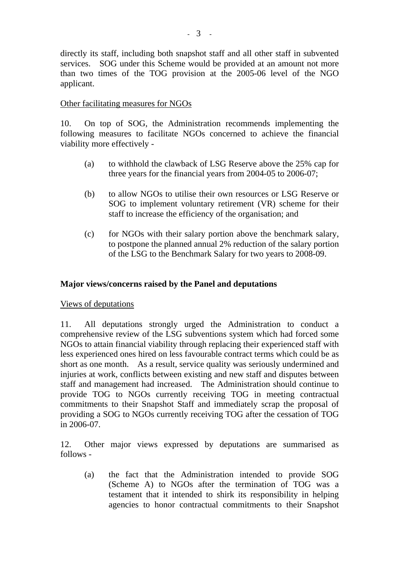directly its staff, including both snapshot staff and all other staff in subvented services. SOG under this Scheme would be provided at an amount not more than two times of the TOG provision at the 2005-06 level of the NGO applicant.

# Other facilitating measures for NGOs

10. On top of SOG, the Administration recommends implementing the following measures to facilitate NGOs concerned to achieve the financial viability more effectively -

- (a) to withhold the clawback of LSG Reserve above the 25% cap for three years for the financial years from 2004-05 to 2006-07;
- (b) to allow NGOs to utilise their own resources or LSG Reserve or SOG to implement voluntary retirement (VR) scheme for their staff to increase the efficiency of the organisation; and
- (c) for NGOs with their salary portion above the benchmark salary, to postpone the planned annual 2% reduction of the salary portion of the LSG to the Benchmark Salary for two years to 2008-09.

# **Major views/concerns raised by the Panel and deputations**

# Views of deputations

11. All deputations strongly urged the Administration to conduct a comprehensive review of the LSG subventions system which had forced some NGOs to attain financial viability through replacing their experienced staff with less experienced ones hired on less favourable contract terms which could be as short as one month. As a result, service quality was seriously undermined and injuries at work, conflicts between existing and new staff and disputes between staff and management had increased. The Administration should continue to provide TOG to NGOs currently receiving TOG in meeting contractual commitments to their Snapshot Staff and immediately scrap the proposal of providing a SOG to NGOs currently receiving TOG after the cessation of TOG in 2006-07.

12. Other major views expressed by deputations are summarised as follows -

(a) the fact that the Administration intended to provide SOG (Scheme A) to NGOs after the termination of TOG was a testament that it intended to shirk its responsibility in helping agencies to honor contractual commitments to their Snapshot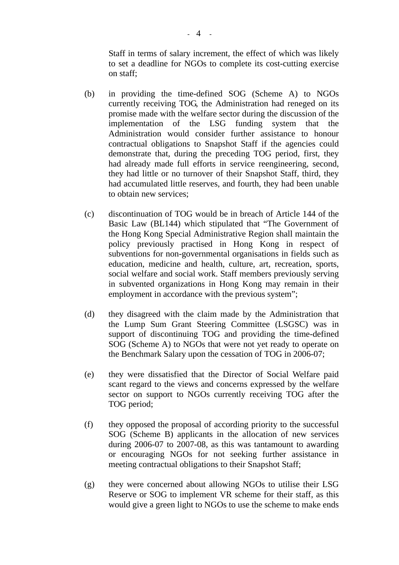Staff in terms of salary increment, the effect of which was likely to set a deadline for NGOs to complete its cost-cutting exercise on staff;

- (b) in providing the time-defined SOG (Scheme A) to NGOs currently receiving TOG, the Administration had reneged on its promise made with the welfare sector during the discussion of the implementation of the LSG funding system that the Administration would consider further assistance to honour contractual obligations to Snapshot Staff if the agencies could demonstrate that, during the preceding TOG period, first, they had already made full efforts in service reengineering, second, they had little or no turnover of their Snapshot Staff, third, they had accumulated little reserves, and fourth, they had been unable to obtain new services;
- (c) discontinuation of TOG would be in breach of Article 144 of the Basic Law (BL144) which stipulated that "The Government of the Hong Kong Special Administrative Region shall maintain the policy previously practised in Hong Kong in respect of subventions for non-governmental organisations in fields such as education, medicine and health, culture, art, recreation, sports, social welfare and social work. Staff members previously serving in subvented organizations in Hong Kong may remain in their employment in accordance with the previous system";
- (d) they disagreed with the claim made by the Administration that the Lump Sum Grant Steering Committee (LSGSC) was in support of discontinuing TOG and providing the time-defined SOG (Scheme A) to NGOs that were not yet ready to operate on the Benchmark Salary upon the cessation of TOG in 2006-07;
- (e) they were dissatisfied that the Director of Social Welfare paid scant regard to the views and concerns expressed by the welfare sector on support to NGOs currently receiving TOG after the TOG period;
- (f) they opposed the proposal of according priority to the successful SOG (Scheme B) applicants in the allocation of new services during 2006-07 to 2007-08, as this was tantamount to awarding or encouraging NGOs for not seeking further assistance in meeting contractual obligations to their Snapshot Staff;
- (g) they were concerned about allowing NGOs to utilise their LSG Reserve or SOG to implement VR scheme for their staff, as this would give a green light to NGOs to use the scheme to make ends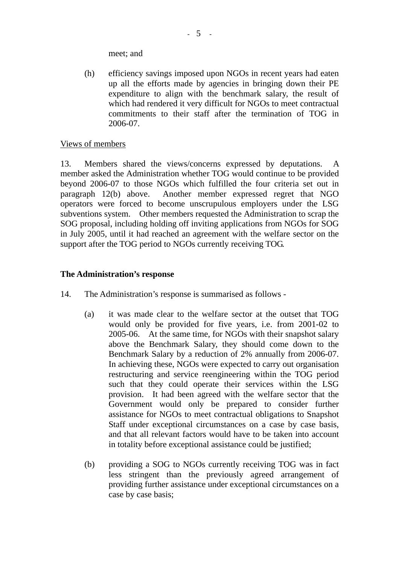meet; and

(h) efficiency savings imposed upon NGOs in recent years had eaten up all the efforts made by agencies in bringing down their PE expenditure to align with the benchmark salary, the result of which had rendered it very difficult for NGOs to meet contractual commitments to their staff after the termination of TOG in 2006-07.

## Views of members

13. Members shared the views/concerns expressed by deputations. A member asked the Administration whether TOG would continue to be provided beyond 2006-07 to those NGOs which fulfilled the four criteria set out in paragraph 12(b) above. Another member expressed regret that NGO operators were forced to become unscrupulous employers under the LSG subventions system. Other members requested the Administration to scrap the SOG proposal, including holding off inviting applications from NGOs for SOG in July 2005, until it had reached an agreement with the welfare sector on the support after the TOG period to NGOs currently receiving TOG.

### **The Administration's response**

- 14. The Administration's response is summarised as follows
	- (a) it was made clear to the welfare sector at the outset that TOG would only be provided for five years, i.e. from 2001-02 to 2005-06. At the same time, for NGOs with their snapshot salary above the Benchmark Salary, they should come down to the Benchmark Salary by a reduction of 2% annually from 2006-07. In achieving these, NGOs were expected to carry out organisation restructuring and service reengineering within the TOG period such that they could operate their services within the LSG provision. It had been agreed with the welfare sector that the Government would only be prepared to consider further assistance for NGOs to meet contractual obligations to Snapshot Staff under exceptional circumstances on a case by case basis, and that all relevant factors would have to be taken into account in totality before exceptional assistance could be justified;
	- (b) providing a SOG to NGOs currently receiving TOG was in fact less stringent than the previously agreed arrangement of providing further assistance under exceptional circumstances on a case by case basis;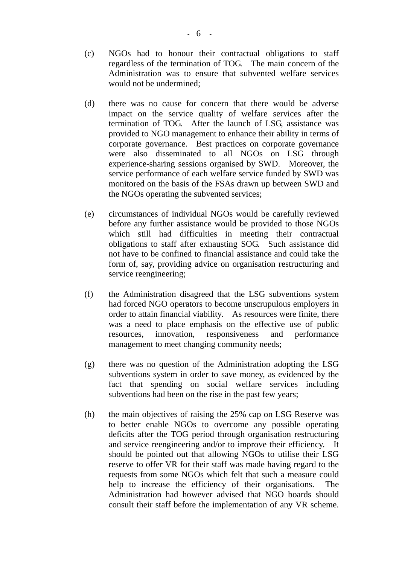- (c) NGOs had to honour their contractual obligations to staff regardless of the termination of TOG. The main concern of the Administration was to ensure that subvented welfare services would not be undermined;
- (d) there was no cause for concern that there would be adverse impact on the service quality of welfare services after the termination of TOG. After the launch of LSG, assistance was provided to NGO management to enhance their ability in terms of corporate governance. Best practices on corporate governance were also disseminated to all NGOs on LSG through experience-sharing sessions organised by SWD. Moreover, the service performance of each welfare service funded by SWD was monitored on the basis of the FSAs drawn up between SWD and the NGOs operating the subvented services;
- (e) circumstances of individual NGOs would be carefully reviewed before any further assistance would be provided to those NGOs which still had difficulties in meeting their contractual obligations to staff after exhausting SOG. Such assistance did not have to be confined to financial assistance and could take the form of, say, providing advice on organisation restructuring and service reengineering;
- (f) the Administration disagreed that the LSG subventions system had forced NGO operators to become unscrupulous employers in order to attain financial viability. As resources were finite, there was a need to place emphasis on the effective use of public resources, innovation, responsiveness and performance management to meet changing community needs;
- (g) there was no question of the Administration adopting the LSG subventions system in order to save money, as evidenced by the fact that spending on social welfare services including subventions had been on the rise in the past few years;
- (h) the main objectives of raising the 25% cap on LSG Reserve was to better enable NGOs to overcome any possible operating deficits after the TOG period through organisation restructuring and service reengineering and/or to improve their efficiency. It should be pointed out that allowing NGOs to utilise their LSG reserve to offer VR for their staff was made having regard to the requests from some NGOs which felt that such a measure could help to increase the efficiency of their organisations. The Administration had however advised that NGO boards should consult their staff before the implementation of any VR scheme.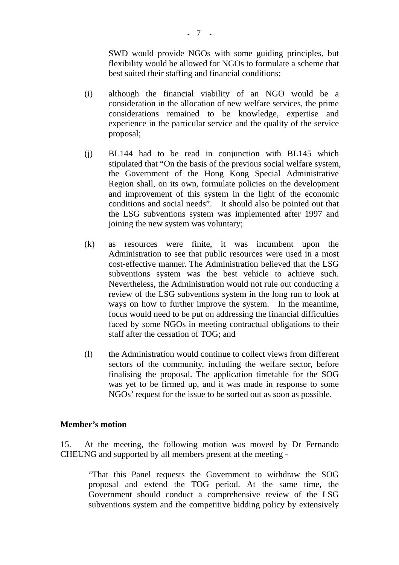SWD would provide NGOs with some guiding principles, but flexibility would be allowed for NGOs to formulate a scheme that best suited their staffing and financial conditions;

- (i) although the financial viability of an NGO would be a consideration in the allocation of new welfare services, the prime considerations remained to be knowledge, expertise and experience in the particular service and the quality of the service proposal;
- (j) BL144 had to be read in conjunction with BL145 which stipulated that "On the basis of the previous social welfare system, the Government of the Hong Kong Special Administrative Region shall, on its own, formulate policies on the development and improvement of this system in the light of the economic conditions and social needs". It should also be pointed out that the LSG subventions system was implemented after 1997 and joining the new system was voluntary;
- (k) as resources were finite, it was incumbent upon the Administration to see that public resources were used in a most cost-effective manner. The Administration believed that the LSG subventions system was the best vehicle to achieve such. Nevertheless, the Administration would not rule out conducting a review of the LSG subventions system in the long run to look at ways on how to further improve the system. In the meantime, focus would need to be put on addressing the financial difficulties faced by some NGOs in meeting contractual obligations to their staff after the cessation of TOG; and
- (l) the Administration would continue to collect views from different sectors of the community, including the welfare sector, before finalising the proposal. The application timetable for the SOG was yet to be firmed up, and it was made in response to some NGOs' request for the issue to be sorted out as soon as possible.

#### **Member's motion**

15. At the meeting, the following motion was moved by Dr Fernando CHEUNG and supported by all members present at the meeting -

"That this Panel requests the Government to withdraw the SOG proposal and extend the TOG period. At the same time, the Government should conduct a comprehensive review of the LSG subventions system and the competitive bidding policy by extensively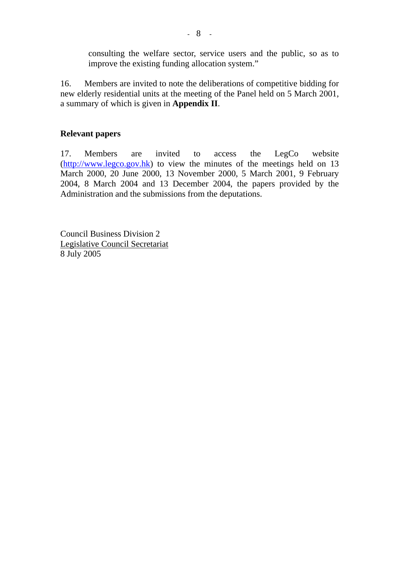consulting the welfare sector, service users and the public, so as to improve the existing funding allocation system."

16. Members are invited to note the deliberations of competitive bidding for new elderly residential units at the meeting of the Panel held on 5 March 2001, a summary of which is given in **Appendix II**.

### **Relevant papers**

17. Members are invited to access the LegCo website  $(\frac{http://www.legco.gov.hk})$  to view the minutes of the meetings held on 13 March 2000, 20 June 2000, 13 November 2000, 5 March 2001, 9 February 2004, 8 March 2004 and 13 December 2004, the papers provided by the Administration and the submissions from the deputations.

Council Business Division 2 Legislative Council Secretariat 8 July 2005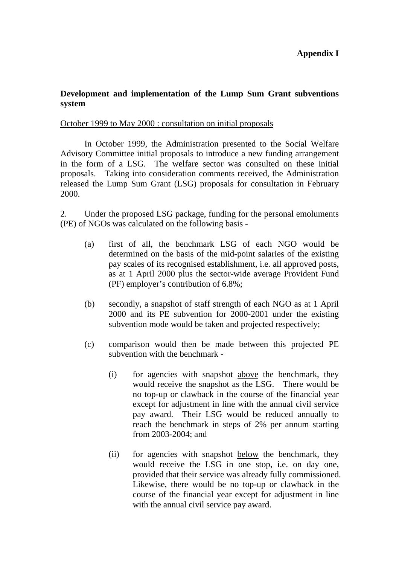# **Appendix I**

## **Development and implementation of the Lump Sum Grant subventions system**

#### October 1999 to May 2000 : consultation on initial proposals

 In October 1999, the Administration presented to the Social Welfare Advisory Committee initial proposals to introduce a new funding arrangement in the form of a LSG. The welfare sector was consulted on these initial proposals. Taking into consideration comments received, the Administration released the Lump Sum Grant (LSG) proposals for consultation in February 2000.

2. Under the proposed LSG package, funding for the personal emoluments (PE) of NGOs was calculated on the following basis -

- (a) first of all, the benchmark LSG of each NGO would be determined on the basis of the mid-point salaries of the existing pay scales of its recognised establishment, i.e. all approved posts, as at 1 April 2000 plus the sector-wide average Provident Fund (PF) employer's contribution of 6.8%;
- (b) secondly, a snapshot of staff strength of each NGO as at 1 April 2000 and its PE subvention for 2000-2001 under the existing subvention mode would be taken and projected respectively;
- (c) comparison would then be made between this projected PE subvention with the benchmark -
	- (i) for agencies with snapshot above the benchmark, they would receive the snapshot as the LSG. There would be no top-up or clawback in the course of the financial year except for adjustment in line with the annual civil service pay award. Their LSG would be reduced annually to reach the benchmark in steps of 2% per annum starting from 2003-2004; and
	- (ii) for agencies with snapshot below the benchmark, they would receive the LSG in one stop, i.e. on day one, provided that their service was already fully commissioned. Likewise, there would be no top-up or clawback in the course of the financial year except for adjustment in line with the annual civil service pay award.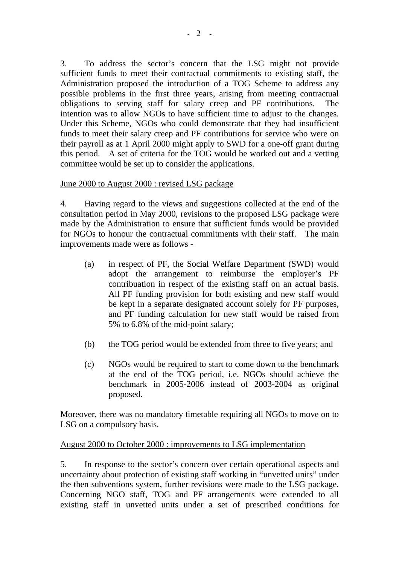3. To address the sector's concern that the LSG might not provide sufficient funds to meet their contractual commitments to existing staff, the Administration proposed the introduction of a TOG Scheme to address any possible problems in the first three years, arising from meeting contractual obligations to serving staff for salary creep and PF contributions. The intention was to allow NGOs to have sufficient time to adjust to the changes. Under this Scheme, NGOs who could demonstrate that they had insufficient funds to meet their salary creep and PF contributions for service who were on their payroll as at 1 April 2000 might apply to SWD for a one-off grant during this period. A set of criteria for the TOG would be worked out and a vetting committee would be set up to consider the applications.

# June 2000 to August 2000 : revised LSG package

4. Having regard to the views and suggestions collected at the end of the consultation period in May 2000, revisions to the proposed LSG package were made by the Administration to ensure that sufficient funds would be provided for NGOs to honour the contractual commitments with their staff. The main improvements made were as follows -

- (a) in respect of PF, the Social Welfare Department (SWD) would adopt the arrangement to reimburse the employer's PF contribuation in respect of the existing staff on an actual basis. All PF funding provision for both existing and new staff would be kept in a separate designated account solely for PF purposes, and PF funding calculation for new staff would be raised from 5% to 6.8% of the mid-point salary;
- (b) the TOG period would be extended from three to five years; and
- (c) NGOs would be required to start to come down to the benchmark at the end of the TOG period, i.e. NGOs should achieve the benchmark in 2005-2006 instead of 2003-2004 as original proposed.

Moreover, there was no mandatory timetable requiring all NGOs to move on to LSG on a compulsory basis.

# August 2000 to October 2000 : improvements to LSG implementation

5. In response to the sector's concern over certain operational aspects and uncertainty about protection of existing staff working in "unvetted units" under the then subventions system, further revisions were made to the LSG package. Concerning NGO staff, TOG and PF arrangements were extended to all existing staff in unvetted units under a set of prescribed conditions for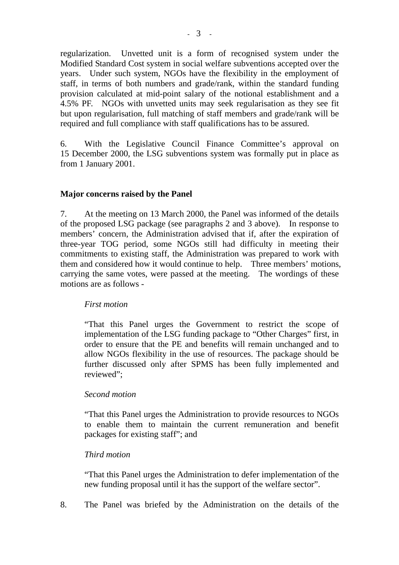regularization. Unvetted unit is a form of recognised system under the Modified Standard Cost system in social welfare subventions accepted over the years. Under such system, NGOs have the flexibility in the employment of staff, in terms of both numbers and grade/rank, within the standard funding provision calculated at mid-point salary of the notional establishment and a 4.5% PF. NGOs with unvetted units may seek regularisation as they see fit but upon regularisation, full matching of staff members and grade/rank will be required and full compliance with staff qualifications has to be assured.

6. With the Legislative Council Finance Committee's approval on 15 December 2000, the LSG subventions system was formally put in place as from 1 January 2001.

# **Major concerns raised by the Panel**

7. At the meeting on 13 March 2000, the Panel was informed of the details of the proposed LSG package (see paragraphs 2 and 3 above). In response to members' concern, the Administration advised that if, after the expiration of three-year TOG period, some NGOs still had difficulty in meeting their commitments to existing staff, the Administration was prepared to work with them and considered how it would continue to help. Three members' motions, carrying the same votes, were passed at the meeting. The wordings of these motions are as follows -

#### *First motion*

 "That this Panel urges the Government to restrict the scope of implementation of the LSG funding package to "Other Charges" first, in order to ensure that the PE and benefits will remain unchanged and to allow NGOs flexibility in the use of resources. The package should be further discussed only after SPMS has been fully implemented and reviewed";

#### *Second motion*

 "That this Panel urges the Administration to provide resources to NGOs to enable them to maintain the current remuneration and benefit packages for existing staff"; and

#### *Third motion*

 "That this Panel urges the Administration to defer implementation of the new funding proposal until it has the support of the welfare sector".

8. The Panel was briefed by the Administration on the details of the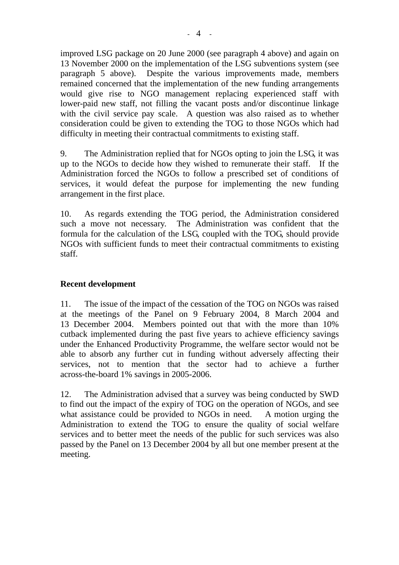improved LSG package on 20 June 2000 (see paragraph 4 above) and again on 13 November 2000 on the implementation of the LSG subventions system (see paragraph 5 above). Despite the various improvements made, members remained concerned that the implementation of the new funding arrangements would give rise to NGO management replacing experienced staff with lower-paid new staff, not filling the vacant posts and/or discontinue linkage with the civil service pay scale. A question was also raised as to whether consideration could be given to extending the TOG to those NGOs which had difficulty in meeting their contractual commitments to existing staff.

9. The Administration replied that for NGOs opting to join the LSG, it was up to the NGOs to decide how they wished to remunerate their staff. If the Administration forced the NGOs to follow a prescribed set of conditions of services, it would defeat the purpose for implementing the new funding arrangement in the first place.

10. As regards extending the TOG period, the Administration considered such a move not necessary. The Administration was confident that the formula for the calculation of the LSG, coupled with the TOG, should provide NGOs with sufficient funds to meet their contractual commitments to existing staff.

# **Recent development**

 11. The issue of the impact of the cessation of the TOG on NGOs was raised at the meetings of the Panel on 9 February 2004, 8 March 2004 and 13 December 2004. Members pointed out that with the more than 10% cutback implemented during the past five years to achieve efficiency savings under the Enhanced Productivity Programme, the welfare sector would not be able to absorb any further cut in funding without adversely affecting their services, not to mention that the sector had to achieve a further across-the-board 1% savings in 2005-2006.

 12. The Administration advised that a survey was being conducted by SWD to find out the impact of the expiry of TOG on the operation of NGOs, and see what assistance could be provided to NGOs in need. A motion urging the Administration to extend the TOG to ensure the quality of social welfare services and to better meet the needs of the public for such services was also passed by the Panel on 13 December 2004 by all but one member present at the meeting.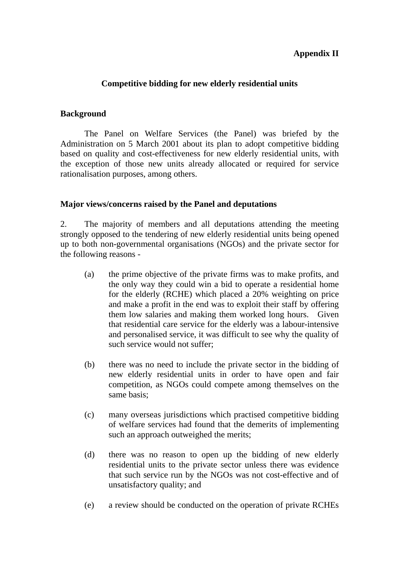# **Appendix II**

## **Competitive bidding for new elderly residential units**

#### **Background**

 The Panel on Welfare Services (the Panel) was briefed by the Administration on 5 March 2001 about its plan to adopt competitive bidding based on quality and cost-effectiveness for new elderly residential units, with the exception of those new units already allocated or required for service rationalisation purposes, among others.

#### **Major views/concerns raised by the Panel and deputations**

2. The majority of members and all deputations attending the meeting strongly opposed to the tendering of new elderly residential units being opened up to both non-governmental organisations (NGOs) and the private sector for the following reasons -

- (a) the prime objective of the private firms was to make profits, and the only way they could win a bid to operate a residential home for the elderly (RCHE) which placed a 20% weighting on price and make a profit in the end was to exploit their staff by offering them low salaries and making them worked long hours. Given that residential care service for the elderly was a labour-intensive and personalised service, it was difficult to see why the quality of such service would not suffer;
- (b) there was no need to include the private sector in the bidding of new elderly residential units in order to have open and fair competition, as NGOs could compete among themselves on the same basis;
- (c) many overseas jurisdictions which practised competitive bidding of welfare services had found that the demerits of implementing such an approach outweighed the merits;
- (d) there was no reason to open up the bidding of new elderly residential units to the private sector unless there was evidence that such service run by the NGOs was not cost-effective and of unsatisfactory quality; and
- (e) a review should be conducted on the operation of private RCHEs